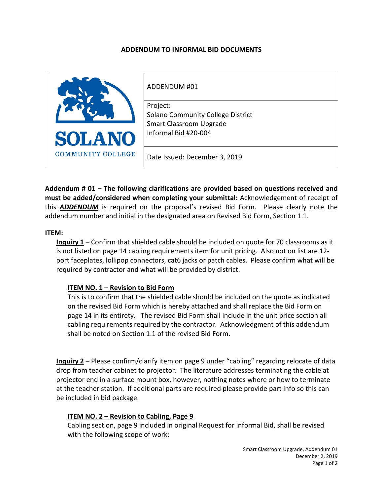### **ADDENDUM TO INFORMAL BID DOCUMENTS**



ADDENDUM #01 Project: Solano Community College District Smart Classroom Upgrade

Date Issued: December 3, 2019

Informal Bid #20-004

**Addendum # 01 – The following clarifications are provided based on questions received and must be added/considered when completing your submittal:** Acknowledgement of receipt of this *ADDENDUM* is required on the proposal's revised Bid Form. Please clearly note the addendum number and initial in the designated area on Revised Bid Form, Section 1.1.

#### **ITEM:**

**Inquiry 1** – Confirm that shielded cable should be included on quote for 70 classrooms as it is not listed on page 14 cabling requirements item for unit pricing. Also not on list are 12 port faceplates, lollipop connectors, cat6 jacks or patch cables. Please confirm what will be required by contractor and what will be provided by district.

### **ITEM NO. 1 – Revision to Bid Form**

This is to confirm that the shielded cable should be included on the quote as indicated on the revised Bid Form which is hereby attached and shall replace the Bid Form on page 14 in its entirety. The revised Bid Form shall include in the unit price section all cabling requirements required by the contractor. Acknowledgment of this addendum shall be noted on Section 1.1 of the revised Bid Form.

**Inquiry 2** – Please confirm/clarify item on page 9 under "cabling" regarding relocate of data drop from teacher cabinet to projector. The literature addresses terminating the cable at projector end in a surface mount box, however, nothing notes where or how to terminate at the teacher station. If additional parts are required please provide part info so this can be included in bid package.

### **ITEM NO. 2 – Revision to Cabling, Page 9**

Cabling section, page 9 included in original Request for Informal Bid, shall be revised with the following scope of work: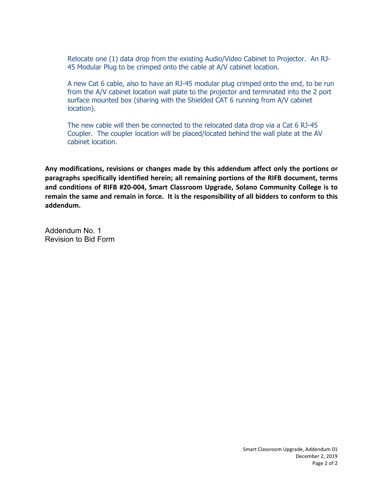Relocate one (1) data drop from the existing Audio/Video Cabinet to Projector. An RJ-45 Modular Plug to be crimped onto the cable at A/V cabinet location.

A new Cat 6 cable, also to have an RJ-45 modular plug crimped onto the end, to be run from the A/V cabinet location wall plate to the projector and terminated into the 2 port surface mounted box (sharing with the Shielded CAT 6 running from A/V cabinet location).

The new cable will then be connected to the relocated data drop via a Cat 6 RJ-45 Coupler. The coupler location will be placed/located behind the wall plate at the AV cabinet location.

**Any modifications, revisions or changes made by this addendum affect only the portions or paragraphs specifically identified herein; all remaining portions of the RIFB document, terms and conditions of RIFB #20-004, Smart Classroom Upgrade, Solano Community College is to remain the same and remain in force. It is the responsibility of all bidders to conform to this addendum.**

Addendum No. 1 Revision to Bid Form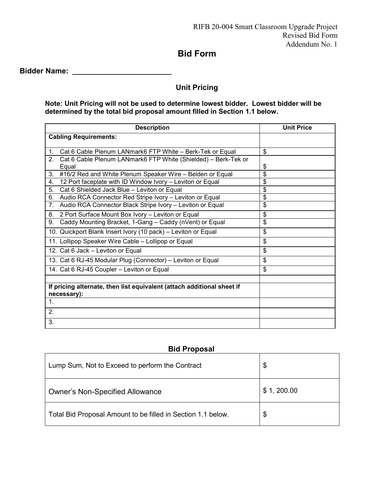# **Bid Form**

**Bidder Name: \_\_\_\_\_\_\_\_\_\_\_\_\_\_\_\_\_\_\_\_\_\_\_\_\_\_**

## **Unit Pricing**

### **Note: Unit Pricing will not be used to determine lowest bidder. Lowest bidder will be determined by the total bid proposal amount filled in Section 1.1 below.**

| <b>Description</b>                                                     | <b>Unit Price</b> |
|------------------------------------------------------------------------|-------------------|
| <b>Cabling Requirements:</b>                                           |                   |
|                                                                        |                   |
| Cat 6 Cable Plenum LANmark6 FTP White - Berk-Tek or Equal<br>1.        | \$                |
| 2.<br>Cat 6 Cable Plenum LANmark6 FTP White (Shielded) - Berk-Tek or   |                   |
| Equal                                                                  | \$                |
| #16/2 Red and White Plenum Speaker Wire - Belden or Equal<br>3.        | \$                |
| 12 Port faceplate with ID Window Ivory - Leviton or Equal<br>4.        | \$                |
| 5.<br>Cat 6 Shielded Jack Blue - Leviton or Equal                      | \$                |
| 6. Audio RCA Connector Red Stripe Ivory - Leviton or Equal             | \$                |
| Audio RCA Connector Black Stripe Ivory - Leviton or Equal<br>7.        | \$                |
| 2 Port Surface Mount Box Ivory - Leviton or Equal<br>8.                | \$                |
| Caddy Mounting Bracket, 1-Gang - Caddy (nVent) or Equal<br>9.          | \$                |
| 10. Quickport Blank Insert Ivory (10 pack) - Leviton or Equal          | \$                |
| 11. Lollipop Speaker Wire Cable - Lollipop or Equal                    | \$                |
| 12. Cat 6 Jack - Leviton or Equal                                      | \$                |
| 13. Cat 6 RJ-45 Modular Plug (Connector) - Leviton or Equal            | \$                |
| 14. Cat 6 RJ-45 Coupler - Leviton or Equal                             | \$                |
|                                                                        |                   |
| If pricing alternate, then list equivalent (attach additional sheet if |                   |
| necessary):                                                            |                   |
| $\mathbf{1}$ .                                                         |                   |
| 2.                                                                     |                   |
| 3.                                                                     |                   |

### **Bid Proposal**

| Lump Sum, Not to Exceed to perform the Contract              | \$          |
|--------------------------------------------------------------|-------------|
| <b>Owner's Non-Specified Allowance</b>                       | \$1, 200.00 |
| Total Bid Proposal Amount to be filled in Section 1.1 below. | \$          |